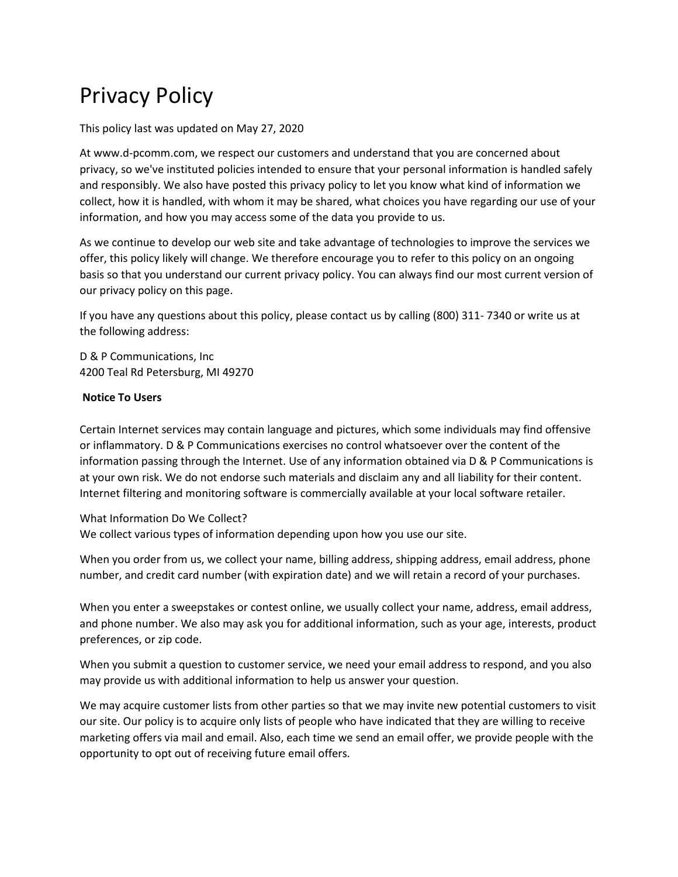# Privacy Policy

This policy last was updated on May 27, 2020

At www.d-pcomm.com, we respect our customers and understand that you are concerned about privacy, so we've instituted policies intended to ensure that your personal information is handled safely and responsibly. We also have posted this privacy policy to let you know what kind of information we collect, how it is handled, with whom it may be shared, what choices you have regarding our use of your information, and how you may access some of the data you provide to us.

As we continue to develop our web site and take advantage of technologies to improve the services we offer, this policy likely will change. We therefore encourage you to refer to this policy on an ongoing basis so that you understand our current privacy policy. You can always find our most current version of our privacy policy on this page.

If you have any questions about this policy, please contact us by calling (800) 311- 7340 or write us at the following address:

D & P Communications, Inc 4200 Teal Rd Petersburg, MI 49270

#### **Notice To Users**

Certain Internet services may contain language and pictures, which some individuals may find offensive or inflammatory. D & P Communications exercises no control whatsoever over the content of the information passing through the Internet. Use of any information obtained via D & P Communications is at your own risk. We do not endorse such materials and disclaim any and all liability for their content. Internet filtering and monitoring software is commercially available at your local software retailer.

### What Information Do We Collect?

We collect various types of information depending upon how you use our site.

When you order from us, we collect your name, billing address, shipping address, email address, phone number, and credit card number (with expiration date) and we will retain a record of your purchases.

When you enter a sweepstakes or contest online, we usually collect your name, address, email address, and phone number. We also may ask you for additional information, such as your age, interests, product preferences, or zip code.

When you submit a question to customer service, we need your email address to respond, and you also may provide us with additional information to help us answer your question.

We may acquire customer lists from other parties so that we may invite new potential customers to visit our site. Our policy is to acquire only lists of people who have indicated that they are willing to receive marketing offers via mail and email. Also, each time we send an email offer, we provide people with the opportunity to opt out of receiving future email offers.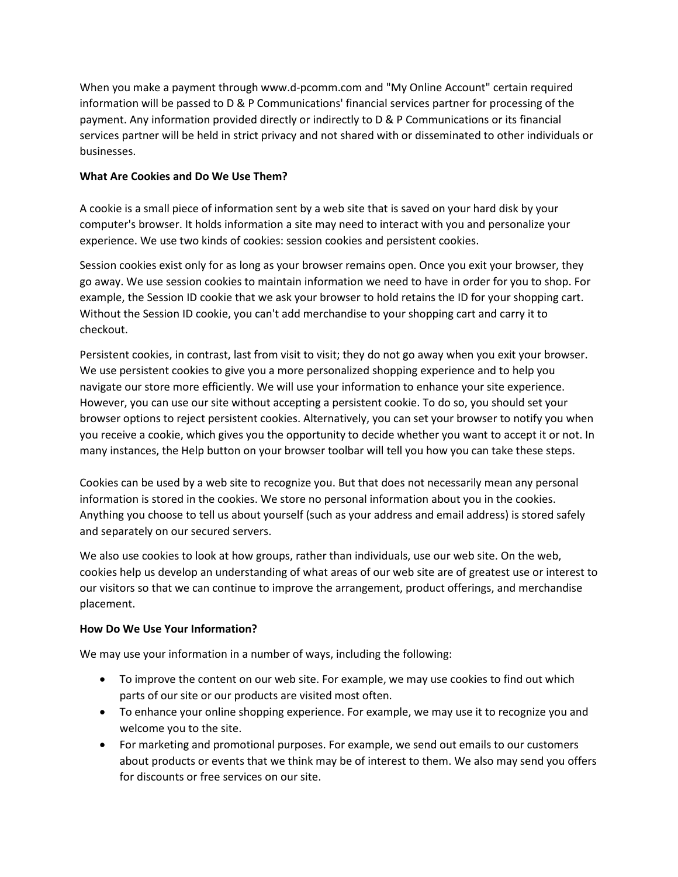When you make a payment through www.d-pcomm.com and "My Online Account" certain required information will be passed to D & P Communications' financial services partner for processing of the payment. Any information provided directly or indirectly to D & P Communications or its financial services partner will be held in strict privacy and not shared with or disseminated to other individuals or businesses.

## **What Are Cookies and Do We Use Them?**

A cookie is a small piece of information sent by a web site that is saved on your hard disk by your computer's browser. It holds information a site may need to interact with you and personalize your experience. We use two kinds of cookies: session cookies and persistent cookies.

Session cookies exist only for as long as your browser remains open. Once you exit your browser, they go away. We use session cookies to maintain information we need to have in order for you to shop. For example, the Session ID cookie that we ask your browser to hold retains the ID for your shopping cart. Without the Session ID cookie, you can't add merchandise to your shopping cart and carry it to checkout.

Persistent cookies, in contrast, last from visit to visit; they do not go away when you exit your browser. We use persistent cookies to give you a more personalized shopping experience and to help you navigate our store more efficiently. We will use your information to enhance your site experience. However, you can use our site without accepting a persistent cookie. To do so, you should set your browser options to reject persistent cookies. Alternatively, you can set your browser to notify you when you receive a cookie, which gives you the opportunity to decide whether you want to accept it or not. In many instances, the Help button on your browser toolbar will tell you how you can take these steps.

Cookies can be used by a web site to recognize you. But that does not necessarily mean any personal information is stored in the cookies. We store no personal information about you in the cookies. Anything you choose to tell us about yourself (such as your address and email address) is stored safely and separately on our secured servers.

We also use cookies to look at how groups, rather than individuals, use our web site. On the web, cookies help us develop an understanding of what areas of our web site are of greatest use or interest to our visitors so that we can continue to improve the arrangement, product offerings, and merchandise placement.

# **How Do We Use Your Information?**

We may use your information in a number of ways, including the following:

- To improve the content on our web site. For example, we may use cookies to find out which parts of our site or our products are visited most often.
- To enhance your online shopping experience. For example, we may use it to recognize you and welcome you to the site.
- For marketing and promotional purposes. For example, we send out emails to our customers about products or events that we think may be of interest to them. We also may send you offers for discounts or free services on our site.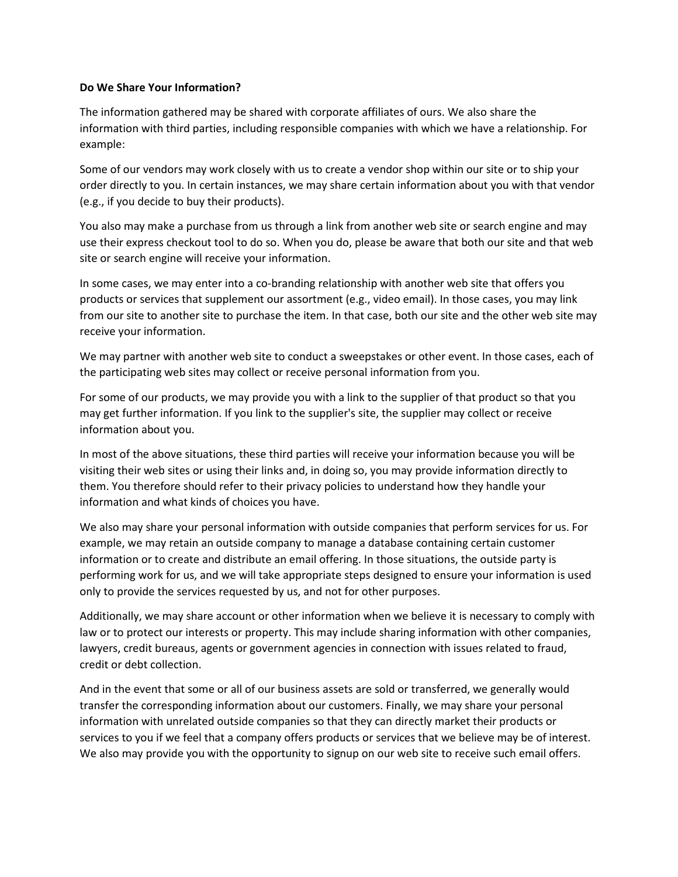#### **Do We Share Your Information?**

The information gathered may be shared with corporate affiliates of ours. We also share the information with third parties, including responsible companies with which we have a relationship. For example:

Some of our vendors may work closely with us to create a vendor shop within our site or to ship your order directly to you. In certain instances, we may share certain information about you with that vendor (e.g., if you decide to buy their products).

You also may make a purchase from us through a link from another web site or search engine and may use their express checkout tool to do so. When you do, please be aware that both our site and that web site or search engine will receive your information.

In some cases, we may enter into a co-branding relationship with another web site that offers you products or services that supplement our assortment (e.g., video email). In those cases, you may link from our site to another site to purchase the item. In that case, both our site and the other web site may receive your information.

We may partner with another web site to conduct a sweepstakes or other event. In those cases, each of the participating web sites may collect or receive personal information from you.

For some of our products, we may provide you with a link to the supplier of that product so that you may get further information. If you link to the supplier's site, the supplier may collect or receive information about you.

In most of the above situations, these third parties will receive your information because you will be visiting their web sites or using their links and, in doing so, you may provide information directly to them. You therefore should refer to their privacy policies to understand how they handle your information and what kinds of choices you have.

We also may share your personal information with outside companies that perform services for us. For example, we may retain an outside company to manage a database containing certain customer information or to create and distribute an email offering. In those situations, the outside party is performing work for us, and we will take appropriate steps designed to ensure your information is used only to provide the services requested by us, and not for other purposes.

Additionally, we may share account or other information when we believe it is necessary to comply with law or to protect our interests or property. This may include sharing information with other companies, lawyers, credit bureaus, agents or government agencies in connection with issues related to fraud, credit or debt collection.

And in the event that some or all of our business assets are sold or transferred, we generally would transfer the corresponding information about our customers. Finally, we may share your personal information with unrelated outside companies so that they can directly market their products or services to you if we feel that a company offers products or services that we believe may be of interest. We also may provide you with the opportunity to signup on our web site to receive such email offers.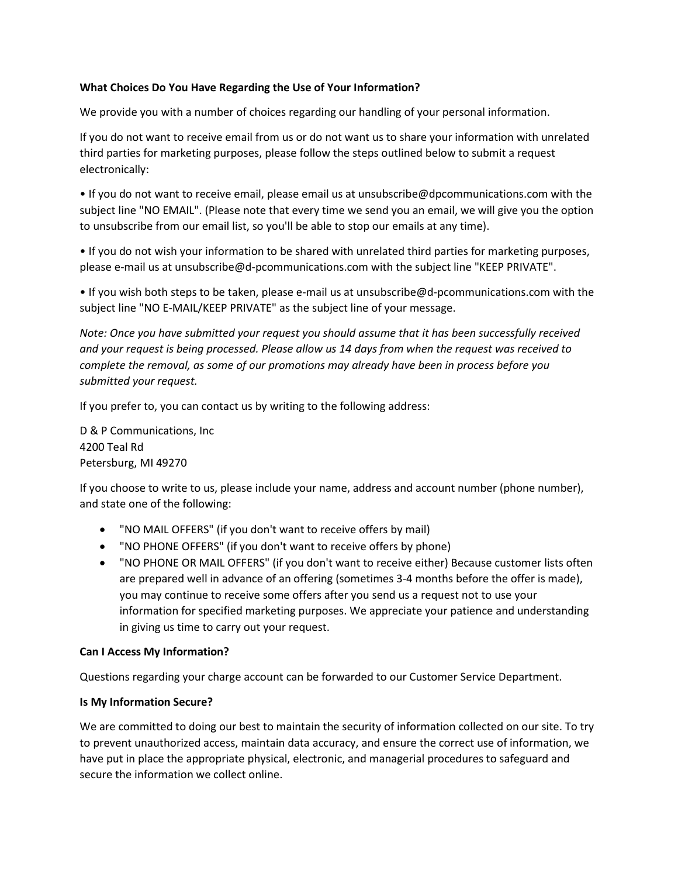### **What Choices Do You Have Regarding the Use of Your Information?**

We provide you with a number of choices regarding our handling of your personal information.

If you do not want to receive email from us or do not want us to share your information with unrelated third parties for marketing purposes, please follow the steps outlined below to submit a request electronically:

• If you do not want to receive email, please email us at unsubscribe@dpcommunications.com with the subject line "NO EMAIL". (Please note that every time we send you an email, we will give you the option to unsubscribe from our email list, so you'll be able to stop our emails at any time).

• If you do not wish your information to be shared with unrelated third parties for marketing purposes, please e-mail us at unsubscribe@d-pcommunications.com with the subject line "KEEP PRIVATE".

• If you wish both steps to be taken, please e-mail us at unsubscribe@d-pcommunications.com with the subject line "NO E-MAIL/KEEP PRIVATE" as the subject line of your message.

*Note: Once you have submitted your request you should assume that it has been successfully received and your request is being processed. Please allow us 14 days from when the request was received to complete the removal, as some of our promotions may already have been in process before you submitted your request.* 

If you prefer to, you can contact us by writing to the following address:

D & P Communications, Inc 4200 Teal Rd Petersburg, MI 49270

If you choose to write to us, please include your name, address and account number (phone number), and state one of the following:

- "NO MAIL OFFERS" (if you don't want to receive offers by mail)
- "NO PHONE OFFERS" (if you don't want to receive offers by phone)
- "NO PHONE OR MAIL OFFERS" (if you don't want to receive either) Because customer lists often are prepared well in advance of an offering (sometimes 3-4 months before the offer is made), you may continue to receive some offers after you send us a request not to use your information for specified marketing purposes. We appreciate your patience and understanding in giving us time to carry out your request.

# **Can I Access My Information?**

Questions regarding your charge account can be forwarded to our Customer Service Department.

### **Is My Information Secure?**

We are committed to doing our best to maintain the security of information collected on our site. To try to prevent unauthorized access, maintain data accuracy, and ensure the correct use of information, we have put in place the appropriate physical, electronic, and managerial procedures to safeguard and secure the information we collect online.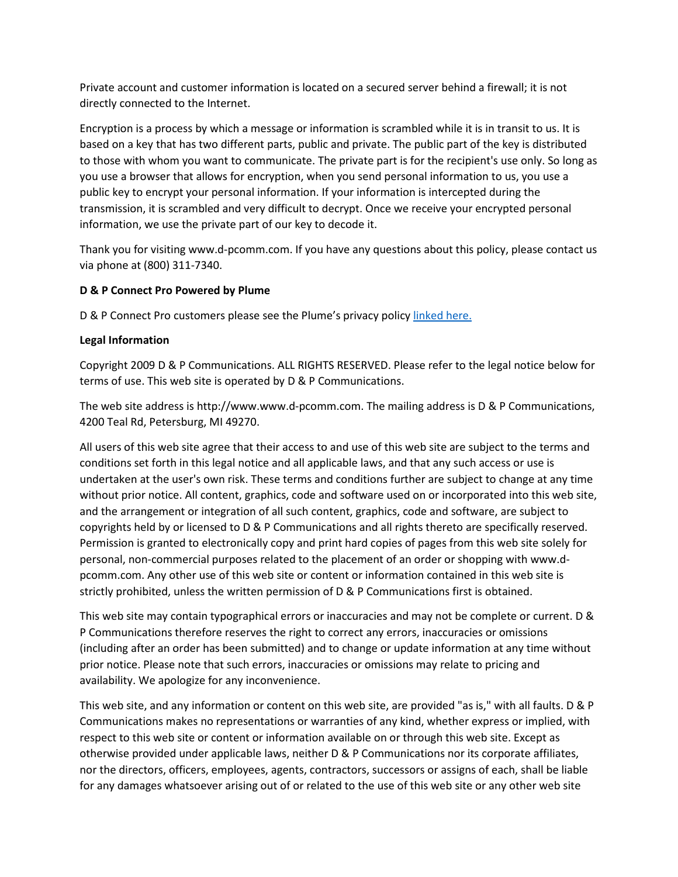Private account and customer information is located on a secured server behind a firewall; it is not directly connected to the Internet.

Encryption is a process by which a message or information is scrambled while it is in transit to us. It is based on a key that has two different parts, public and private. The public part of the key is distributed to those with whom you want to communicate. The private part is for the recipient's use only. So long as you use a browser that allows for encryption, when you send personal information to us, you use a public key to encrypt your personal information. If your information is intercepted during the transmission, it is scrambled and very difficult to decrypt. Once we receive your encrypted personal information, we use the private part of our key to decode it.

Thank you for visiting www.d-pcomm.com. If you have any questions about this policy, please contact us via phone at (800) 311-7340.

### **D & P Connect Pro Powered by Plume**

D & P Connect Pro customers please see the Plume's privacy policy [linked here.](https://www.plume.com/homepass/legal?tabId=privacy&countryId=us)

### **Legal Information**

Copyright 2009 D & P Communications. ALL RIGHTS RESERVED. Please refer to the legal notice below for terms of use. This web site is operated by D & P Communications.

The web site address is http://www.www.d-pcomm.com. The mailing address is D & P Communications, 4200 Teal Rd, Petersburg, MI 49270.

All users of this web site agree that their access to and use of this web site are subject to the terms and conditions set forth in this legal notice and all applicable laws, and that any such access or use is undertaken at the user's own risk. These terms and conditions further are subject to change at any time without prior notice. All content, graphics, code and software used on or incorporated into this web site, and the arrangement or integration of all such content, graphics, code and software, are subject to copyrights held by or licensed to D & P Communications and all rights thereto are specifically reserved. Permission is granted to electronically copy and print hard copies of pages from this web site solely for personal, non-commercial purposes related to the placement of an order or shopping with www.dpcomm.com. Any other use of this web site or content or information contained in this web site is strictly prohibited, unless the written permission of D & P Communications first is obtained.

This web site may contain typographical errors or inaccuracies and may not be complete or current. D & P Communications therefore reserves the right to correct any errors, inaccuracies or omissions (including after an order has been submitted) and to change or update information at any time without prior notice. Please note that such errors, inaccuracies or omissions may relate to pricing and availability. We apologize for any inconvenience.

This web site, and any information or content on this web site, are provided "as is," with all faults. D & P Communications makes no representations or warranties of any kind, whether express or implied, with respect to this web site or content or information available on or through this web site. Except as otherwise provided under applicable laws, neither D & P Communications nor its corporate affiliates, nor the directors, officers, employees, agents, contractors, successors or assigns of each, shall be liable for any damages whatsoever arising out of or related to the use of this web site or any other web site